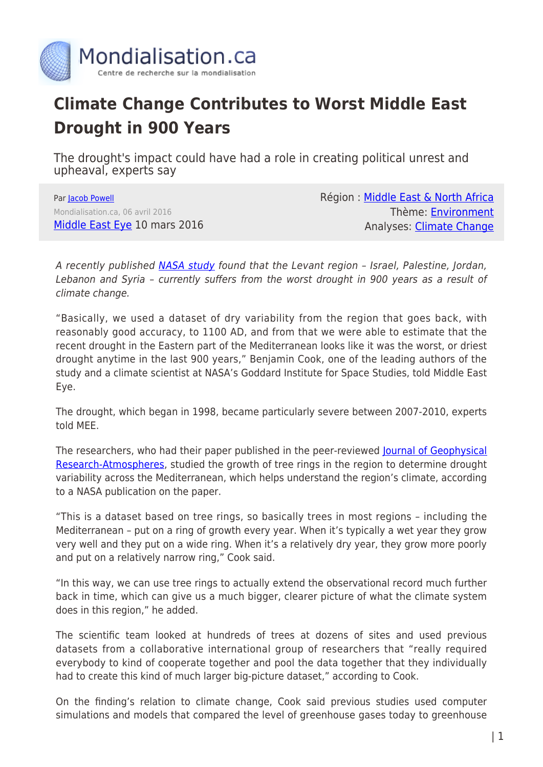

## **Climate Change Contributes to Worst Middle East Drought in 900 Years**

The drought's impact could have had a role in creating political unrest and upheaval, experts say

Par [Jacob Powell](https://www.mondialisation.ca/author/jacob-powell) Mondialisation.ca, 06 avril 2016 [Middle East Eye](http://www.middleeasteye.net/news/climate-change-contributes-worst-drought-middle-east-over-900-years-487878483) 10 mars 2016 Région : [Middle East & North Africa](https://www.mondialisation.ca/region/middle-east) Thème: [Environment](https://www.mondialisation.ca/theme/environment) Analyses: [Climate Change](https://www.mondialisation.ca/indepthreport/climate-change)

A recently published [NASA study](https://www.nasa.gov/feature/goddard/2016/nasa-finds-drought-in-eastern-mediterranean-worst-of-past-900-years) found that the Levant region – Israel, Palestine, Jordan, Lebanon and Syria – currently suffers from the worst drought in 900 years as a result of climate change.

"Basically, we used a dataset of dry variability from the region that goes back, with reasonably good accuracy, to 1100 AD, and from that we were able to estimate that the recent drought in the Eastern part of the Mediterranean looks like it was the worst, or driest drought anytime in the last 900 years," Benjamin Cook, one of the leading authors of the study and a climate scientist at NASA's Goddard Institute for Space Studies, told Middle East Eye.

The drought, which began in 1998, became particularly severe between 2007-2010, experts told MEE.

The researchers, who had their paper published in the peer-reviewed **[Journal of Geophysical](http://onlinelibrary.wiley.com/doi/10.1002/2015JD023929/full)** [Research-Atmospheres](http://onlinelibrary.wiley.com/doi/10.1002/2015JD023929/full), studied the growth of tree rings in the region to determine drought variability across the Mediterranean, which helps understand the region's climate, according to a NASA publication on the paper.

"This is a dataset based on tree rings, so basically trees in most regions – including the Mediterranean – put on a ring of growth every year. When it's typically a wet year they grow very well and they put on a wide ring. When it's a relatively dry year, they grow more poorly and put on a relatively narrow ring," Cook said.

"In this way, we can use tree rings to actually extend the observational record much further back in time, which can give us a much bigger, clearer picture of what the climate system does in this region," he added.

The scientific team looked at hundreds of trees at dozens of sites and used previous datasets from a collaborative international group of researchers that "really required everybody to kind of cooperate together and pool the data together that they individually had to create this kind of much larger big-picture dataset," according to Cook.

On the finding's relation to climate change, Cook said previous studies used computer simulations and models that compared the level of greenhouse gases today to greenhouse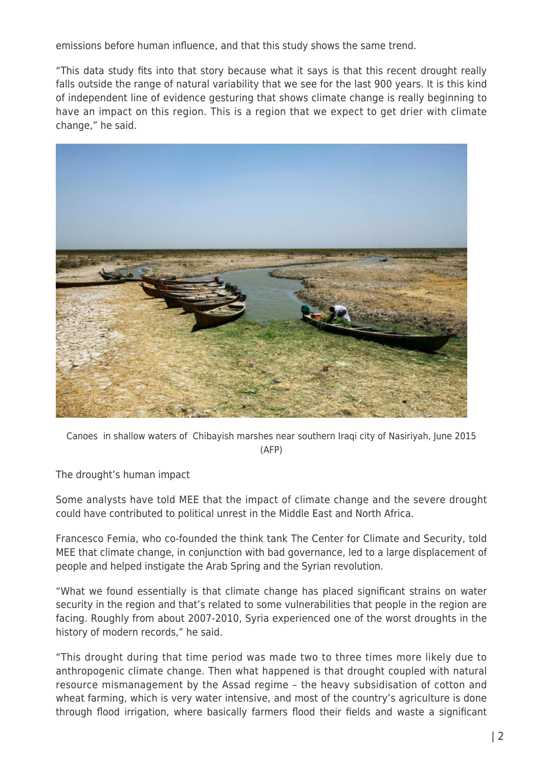emissions before human influence, and that this study shows the same trend.

"This data study fits into that story because what it says is that this recent drought really falls outside the range of natural variability that we see for the last 900 years. It is this kind of independent line of evidence gesturing that shows climate change is really beginning to have an impact on this region. This is a region that we expect to get drier with climate change," he said.



Canoes in shallow waters of Chibayish marshes near southern Iraqi city of Nasiriyah, June 2015 (AFP)

The drought's human impact

Some analysts have told MEE that the impact of climate change and the severe drought could have contributed to political unrest in the Middle East and North Africa.

Francesco Femia, who co-founded the think tank The Center for Climate and Security, told MEE that climate change, in conjunction with bad governance, led to a large displacement of people and helped instigate the Arab Spring and the Syrian revolution.

"What we found essentially is that climate change has placed significant strains on water security in the region and that's related to some vulnerabilities that people in the region are facing. Roughly from about 2007-2010, Syria experienced one of the worst droughts in the history of modern records," he said.

"This drought during that time period was made two to three times more likely due to anthropogenic climate change. Then what happened is that drought coupled with natural resource mismanagement by the Assad regime – the heavy subsidisation of cotton and wheat farming, which is very water intensive, and most of the country's agriculture is done through flood irrigation, where basically farmers flood their fields and waste a significant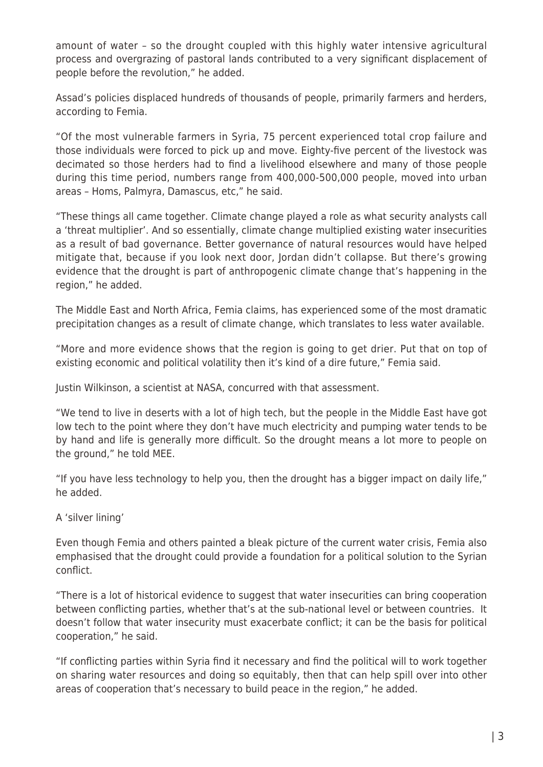amount of water – so the drought coupled with this highly water intensive agricultural process and overgrazing of pastoral lands contributed to a very significant displacement of people before the revolution," he added.

Assad's policies displaced hundreds of thousands of people, primarily farmers and herders, according to Femia.

"Of the most vulnerable farmers in Syria, 75 percent experienced total crop failure and those individuals were forced to pick up and move. Eighty-five percent of the livestock was decimated so those herders had to find a livelihood elsewhere and many of those people during this time period, numbers range from 400,000-500,000 people, moved into urban areas – Homs, Palmyra, Damascus, etc," he said.

"These things all came together. Climate change played a role as what security analysts call a 'threat multiplier'. And so essentially, climate change multiplied existing water insecurities as a result of bad governance. Better governance of natural resources would have helped mitigate that, because if you look next door, Jordan didn't collapse. But there's growing evidence that the drought is part of anthropogenic climate change that's happening in the region," he added.

The Middle East and North Africa, Femia claims, has experienced some of the most dramatic precipitation changes as a result of climate change, which translates to less water available.

"More and more evidence shows that the region is going to get drier. Put that on top of existing economic and political volatility then it's kind of a dire future," Femia said.

Justin Wilkinson, a scientist at NASA, concurred with that assessment.

"We tend to live in deserts with a lot of high tech, but the people in the Middle East have got low tech to the point where they don't have much electricity and pumping water tends to be by hand and life is generally more difficult. So the drought means a lot more to people on the ground," he told MEE.

"If you have less technology to help you, then the drought has a bigger impact on daily life," he added.

A 'silver lining'

Even though Femia and others painted a bleak picture of the current water crisis, Femia also emphasised that the drought could provide a foundation for a political solution to the Syrian conflict.

"There is a lot of historical evidence to suggest that water insecurities can bring cooperation between conflicting parties, whether that's at the sub-national level or between countries. It doesn't follow that water insecurity must exacerbate conflict; it can be the basis for political cooperation," he said.

"If conflicting parties within Syria find it necessary and find the political will to work together on sharing water resources and doing so equitably, then that can help spill over into other areas of cooperation that's necessary to build peace in the region," he added.